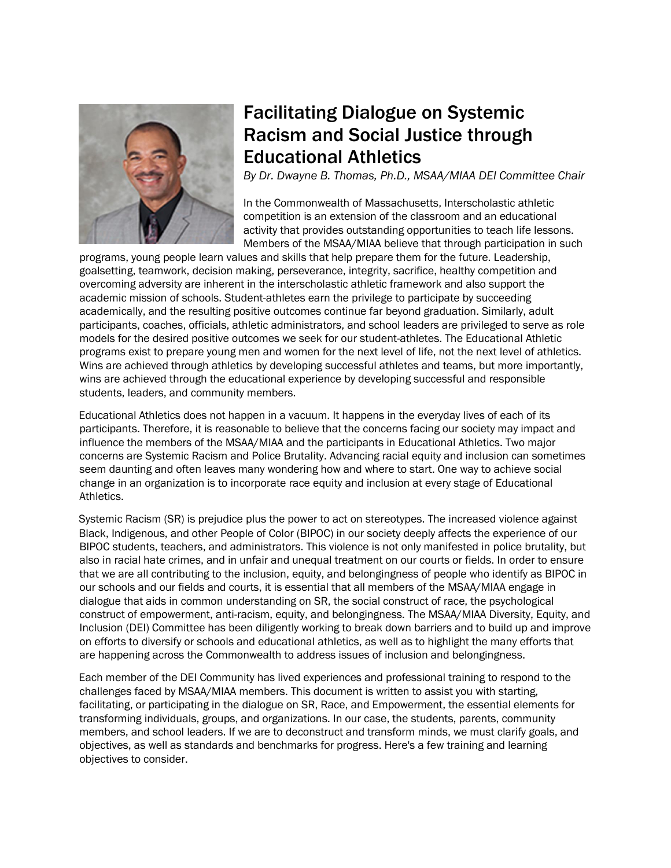

# Facilitating Dialogue on Systemic Racism and Social Justice through Educational Athletics

*By Dr. Dwayne B. Thomas, Ph.D., MSAA/MIAA DEI Committee Chair*

In the Commonwealth of Massachusetts, Interscholastic athletic competition is an extension of the classroom and an educational activity that provides outstanding opportunities to teach life lessons. Members of the MSAA/MIAA believe that through participation in such

programs, young people learn values and skills that help prepare them for the future. Leadership, goalsetting, teamwork, decision making, perseverance, integrity, sacrifice, healthy competition and overcoming adversity are inherent in the interscholastic athletic framework and also support the academic mission of schools. Student-athletes earn the privilege to participate by succeeding academically, and the resulting positive outcomes continue far beyond graduation. Similarly, adult participants, coaches, officials, athletic administrators, and school leaders are privileged to serve as role models for the desired positive outcomes we seek for our student-athletes. The Educational Athletic programs exist to prepare young men and women for the next level of life, not the next level of athletics. Wins are achieved through athletics by developing successful athletes and teams, but more importantly, wins are achieved through the educational experience by developing successful and responsible students, leaders, and community members.

Educational Athletics does not happen in a vacuum. It happens in the everyday lives of each of its participants. Therefore, it is reasonable to believe that the concerns facing our society may impact and influence the members of the MSAA/MIAA and the participants in Educational Athletics. Two major concerns are Systemic Racism and Police Brutality. Advancing racial equity and inclusion can sometimes seem daunting and often leaves many wondering how and where to start. One way to achieve social change in an organization is to incorporate race equity and inclusion at every stage of Educational Athletics.

Systemic Racism (SR) is prejudice plus the power to act on stereotypes. The increased violence against Black, Indigenous, and other People of Color (BIPOC) in our society deeply affects the experience of our BIPOC students, teachers, and administrators. This violence is not only manifested in police brutality, but also in racial hate crimes, and in unfair and unequal treatment on our courts or fields. In order to ensure that we are all contributing to the inclusion, equity, and belongingness of people who identify as BIPOC in our schools and our fields and courts, it is essential that all members of the MSAA/MIAA engage in dialogue that aids in common understanding on SR, the social construct of race, the psychological construct of empowerment, anti-racism, equity, and belongingness. The MSAA/MIAA Diversity, Equity, and Inclusion (DEI) Committee has been diligently working to break down barriers and to build up and improve on efforts to diversify or schools and educational athletics, as well as to highlight the many efforts that are happening across the Commonwealth to address issues of inclusion and belongingness.

Each member of the DEI Community has lived experiences and professional training to respond to the challenges faced by MSAA/MIAA members. This document is written to assist you with starting, facilitating, or participating in the dialogue on SR, Race, and Empowerment, the essential elements for transforming individuals, groups, and organizations. In our case, the students, parents, community members, and school leaders. If we are to deconstruct and transform minds, we must clarify goals, and objectives, as well as standards and benchmarks for progress. Here's a few training and learning objectives to consider.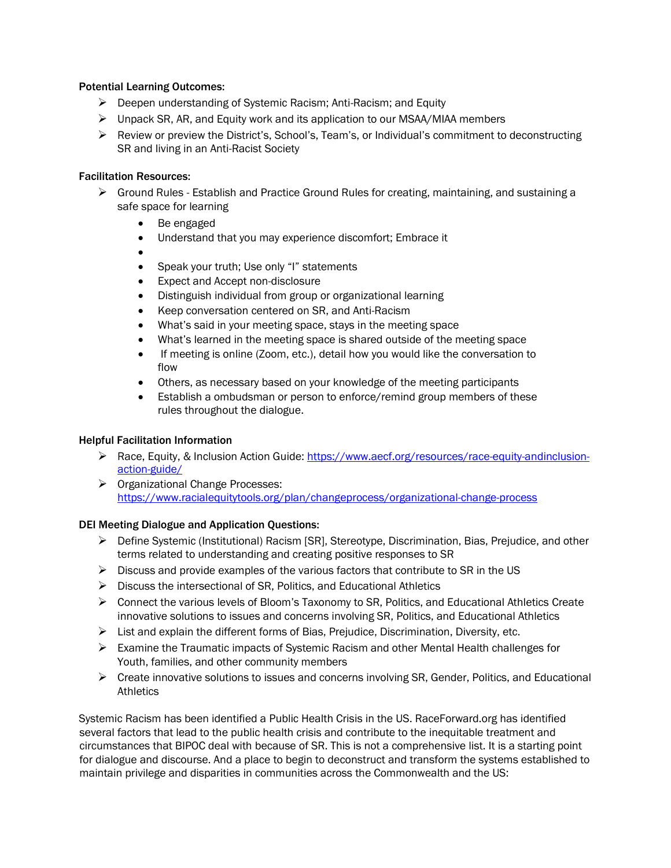#### Potential Learning Outcomes:

- Deepen understanding of Systemic Racism; Anti-Racism; and Equity
- $\triangleright$  Unpack SR, AR, and Equity work and its application to our MSAA/MIAA members
- $\triangleright$  Review or preview the District's, School's, Team's, or Individual's commitment to deconstructing SR and living in an Anti-Racist Society

### Facilitation Resources:

- $\triangleright$  Ground Rules Establish and Practice Ground Rules for creating, maintaining, and sustaining a safe space for learning
	- Be engaged
	- Understand that you may experience discomfort; Embrace it
	- $\bullet$
	- Speak your truth; Use only "I" statements
	- Expect and Accept non-disclosure
	- Distinguish individual from group or organizational learning
	- Keep conversation centered on SR, and Anti-Racism
	- What's said in your meeting space, stays in the meeting space
	- What's learned in the meeting space is shared outside of the meeting space
	- If meeting is online (Zoom, etc.), detail how you would like the conversation to flow
	- Others, as necessary based on your knowledge of the meeting participants
	- Establish a ombudsman or person to enforce/remind group members of these rules throughout the dialogue.

### Helpful Facilitation Information

- ▶ Race, Equity, & Inclusion Action Guide: [https://www.aecf.org/resources/race-equity-andinclusion](https://www.aecf.org/resources/race-equity-and-inclusion-action-guide/)[action-guide/](https://www.aecf.org/resources/race-equity-and-inclusion-action-guide/)
- Organizational Change Processes: [https://www.racialequitytools.org/plan/changeprocess/organizational-change-process](https://www.racialequitytools.org/plan/change-process/organizational-change-process)

## DEI Meeting Dialogue and Application Questions:

- $\triangleright$  Define Systemic (Institutional) Racism [SR], Stereotype, Discrimination, Bias, Prejudice, and other terms related to understanding and creating positive responses to SR
- $\triangleright$  Discuss and provide examples of the various factors that contribute to SR in the US
- $\triangleright$  Discuss the intersectional of SR, Politics, and Educational Athletics
- $\triangleright$  Connect the various levels of Bloom's Taxonomy to SR, Politics, and Educational Athletics Create innovative solutions to issues and concerns involving SR, Politics, and Educational Athletics
- $\triangleright$  List and explain the different forms of Bias, Prejudice, Discrimination, Diversity, etc.
- $\triangleright$  Examine the Traumatic impacts of Systemic Racism and other Mental Health challenges for Youth, families, and other community members
- $\triangleright$  Create innovative solutions to issues and concerns involving SR, Gender, Politics, and Educational **Athletics**

Systemic Racism has been identified a Public Health Crisis in the US. RaceForward.org has identified several factors that lead to the public health crisis and contribute to the inequitable treatment and circumstances that BIPOC deal with because of SR. This is not a comprehensive list. It is a starting point for dialogue and discourse. And a place to begin to deconstruct and transform the systems established to maintain privilege and disparities in communities across the Commonwealth and the US: